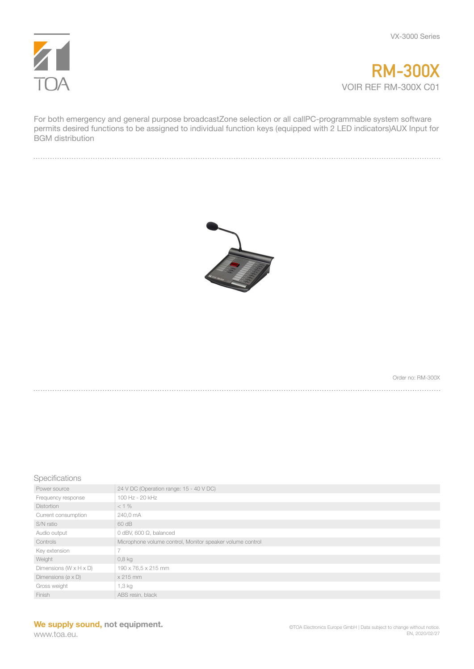



For both emergency and general purpose broadcastZone selection or all callPC-programmable system software permits desired functions to be assigned to individual function keys (equipped with 2 LED indicators)AUX Input for BGM distribution



Order no: RM-300X

Specifications

| Power source                          | 24 V DC (Operation range: 15 - 40 V DC)                   |
|---------------------------------------|-----------------------------------------------------------|
| Frequency response                    | 100 Hz - 20 kHz                                           |
| <b>Distortion</b>                     | $< 1\%$                                                   |
| Current consumption                   | 240,0 mA                                                  |
| S/N ratio                             | 60 dB                                                     |
| Audio output                          | 0 dBV, 600 $\Omega$ , balanced                            |
| Controls                              | Microphone volume control, Monitor speaker volume control |
| Key extension                         |                                                           |
| Weight                                | $0,8$ kg                                                  |
| Dimensions $(W \times H \times D)$    | 190 x 76,5 x 215 mm                                       |
| Dimensions ( $\varnothing \times D$ ) | $x 215$ mm                                                |
| Gross weight                          | 1,3 kg                                                    |
| Finish                                | ABS resin, black                                          |

www.toa.eu.